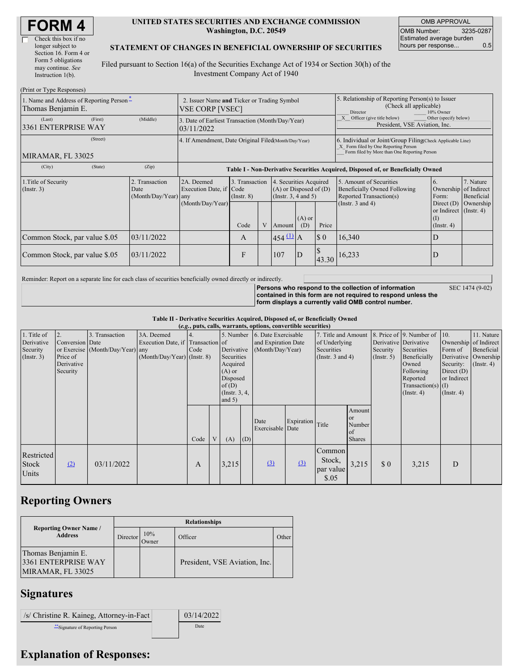| <b>FORM4</b> |
|--------------|
|--------------|

 $\Box$ 

| Check this box if no  |
|-----------------------|
| longer subject to     |
| Section 16. Form 4 or |
| Form 5 obligations    |
| may continue. See     |
| Instruction $1(b)$ .  |
|                       |

#### **UNITED STATES SECURITIES AND EXCHANGE COMMISSION Washington, D.C. 20549**

OMB APPROVAL OMB Number: 3235-0287 Estimated average burden hours per response... 0.5

#### **STATEMENT OF CHANGES IN BENEFICIAL OWNERSHIP OF SECURITIES**

Filed pursuant to Section 16(a) of the Securities Exchange Act of 1934 or Section 30(h) of the Investment Company Act of 1940

| (Print or Type Responses)                                      |                                                                |                                                      |                                                                                  |                                   |   |                                                                              |                                                                                                                                                    |                                                                                      |                                                                                    |                                                                              |                         |  |
|----------------------------------------------------------------|----------------------------------------------------------------|------------------------------------------------------|----------------------------------------------------------------------------------|-----------------------------------|---|------------------------------------------------------------------------------|----------------------------------------------------------------------------------------------------------------------------------------------------|--------------------------------------------------------------------------------------|------------------------------------------------------------------------------------|------------------------------------------------------------------------------|-------------------------|--|
| 1. Name and Address of Reporting Person-<br>Thomas Benjamin E. | 2. Issuer Name and Ticker or Trading Symbol<br>VSE CORP [VSEC] |                                                      |                                                                                  |                                   |   |                                                                              | 5. Relationship of Reporting Person(s) to Issuer<br>(Check all applicable)<br>Director<br>10% Owner                                                |                                                                                      |                                                                                    |                                                                              |                         |  |
| (Last)<br>3361 ENTERPRISE WAY                                  | (First)                                                        | (Middle)                                             | 3. Date of Earliest Transaction (Month/Day/Year)<br>03/11/2022                   |                                   |   |                                                                              |                                                                                                                                                    | Other (specify below)<br>Officer (give title below)<br>President, VSE Aviation, Inc. |                                                                                    |                                                                              |                         |  |
| MIRAMAR, FL 33025                                              | (Street)                                                       | 4. If Amendment, Date Original Filed Month/Day/Year) |                                                                                  |                                   |   |                                                                              | 6. Individual or Joint/Group Filing(Check Applicable Line)<br>X Form filed by One Reporting Person<br>Form filed by More than One Reporting Person |                                                                                      |                                                                                    |                                                                              |                         |  |
| (City)                                                         | (State)                                                        | (Zip)                                                | Table I - Non-Derivative Securities Acquired, Disposed of, or Beneficially Owned |                                   |   |                                                                              |                                                                                                                                                    |                                                                                      |                                                                                    |                                                                              |                         |  |
| 1. Title of Security<br>$($ Instr. 3 $)$                       |                                                                | 2. Transaction<br>Date<br>(Month/Day/Year) any       | 2A. Deemed<br>Execution Date, if Code                                            | 3. Transaction<br>$($ Instr. $8)$ |   | 4. Securities Acquired<br>$(A)$ or Disposed of $(D)$<br>(Insert. 3, 4 and 5) |                                                                                                                                                    |                                                                                      | 5. Amount of Securities<br>Beneficially Owned Following<br>Reported Transaction(s) | 6.<br>Ownership of Indirect<br>Form:                                         | 7. Nature<br>Beneficial |  |
|                                                                |                                                                |                                                      | (Month/Day/Year)                                                                 | Code                              | V | Amount                                                                       | $(A)$ or<br>(D)                                                                                                                                    | Price                                                                                | (Instr. $3$ and $4$ )                                                              | Direct $(D)$<br>or Indirect $($ Instr. 4 $)$<br>$\rm(I)$<br>$($ Instr. 4 $)$ | Ownership               |  |
| Common Stock, par value \$.05                                  |                                                                | 03/11/2022                                           |                                                                                  | A                                 |   | $454 \Omega A$                                                               |                                                                                                                                                    | $\boldsymbol{\mathsf{S}}$ 0                                                          | 16,340                                                                             | D                                                                            |                         |  |
| Common Stock, par value \$.05                                  |                                                                | 03/11/2022                                           |                                                                                  | F                                 |   | 107                                                                          | D                                                                                                                                                  | 43.30                                                                                | 16,233                                                                             | D                                                                            |                         |  |

Reminder: Report on a separate line for each class of securities beneficially owned directly or indirectly.

**Persons who respond to the collection of information**

SEC 1474 (9-02)

**contained in this form are not required to respond unless the form displays a currently valid OMB control number.**

**Table II - Derivative Securities Acquired, Disposed of, or Beneficially Owned (***e.g.***, puts, calls, warrants, options, convertible securities)**

| 1. Title of<br>Derivative<br>Security<br>(Insert. 3) | Conversion Date<br>Price of<br>Derivative<br>Security | 3. Transaction<br>or Exercise (Month/Day/Year) any | 3A. Deemed<br>Execution Date, if Transaction of<br>$(Month/Day/Year)$ (Instr. 8) | 14.<br>Code |   | 5. Number<br>Derivative<br>Securities<br>Acquired<br>$(A)$ or<br>Disposed<br>of $(D)$<br>(Instr. $3, 4,$ |     | $(0.8)$ pats, cans, wait ants, options, convertible securities,<br>6. Date Exercisable<br>and Expiration Date<br>(Month/Day/Year) |                  | 7. Title and Amount<br>of Underlying<br>Securities<br>(Instr. $3$ and $4$ ) |                                                                 | Derivative Derivative<br>Security<br>(Insert. 5) | 8. Price of 9. Number of 10.<br>Securities<br>Beneficially<br>Owned<br>Following<br>Reported<br>Transaction(s) $(I)$<br>$($ Instr. 4 $)$ | Form of<br>Security:<br>Direct $(D)$<br>or Indirect<br>$($ Instr. 4 $)$ | 11. Nature<br>Ownership of Indirect<br>Beneficial<br>Derivative Ownership<br>$($ Instr. 4) |
|------------------------------------------------------|-------------------------------------------------------|----------------------------------------------------|----------------------------------------------------------------------------------|-------------|---|----------------------------------------------------------------------------------------------------------|-----|-----------------------------------------------------------------------------------------------------------------------------------|------------------|-----------------------------------------------------------------------------|-----------------------------------------------------------------|--------------------------------------------------|------------------------------------------------------------------------------------------------------------------------------------------|-------------------------------------------------------------------------|--------------------------------------------------------------------------------------------|
|                                                      |                                                       |                                                    |                                                                                  | Code        | V | and $5)$<br>(A)                                                                                          | (D) | Date<br>Exercisable Date                                                                                                          | Expiration Title |                                                                             | Amount<br><sub>or</sub><br>Number<br><b>of</b><br><b>Shares</b> |                                                  |                                                                                                                                          |                                                                         |                                                                                            |
| Restricted<br>Stock<br>Units                         | (2)                                                   | 03/11/2022                                         |                                                                                  | A           |   | 3,215                                                                                                    |     | $\Omega$                                                                                                                          | $\Omega$         | Common<br>Stock,<br>par value<br>\$.05                                      | 3,215                                                           | \$0                                              | 3,215                                                                                                                                    | D                                                                       |                                                                                            |

# **Reporting Owners**

|                                                                | <b>Relationships</b> |              |                               |       |  |  |  |  |  |  |
|----------------------------------------------------------------|----------------------|--------------|-------------------------------|-------|--|--|--|--|--|--|
| <b>Reporting Owner Name</b> /<br><b>Address</b>                | Director             | 10%<br>Owner | Officer                       | Other |  |  |  |  |  |  |
| Thomas Benjamin E.<br>3361 ENTERPRISE WAY<br>MIRAMAR, FL 33025 |                      |              | President, VSE Aviation, Inc. |       |  |  |  |  |  |  |

# **Signatures**

 $\vert$ /s/ Christine R. Kaineg, Attorney-in-Fact  $\vert$  03/14/2022 \*\*Signature of Reporting Person Date

# **Explanation of Responses:**